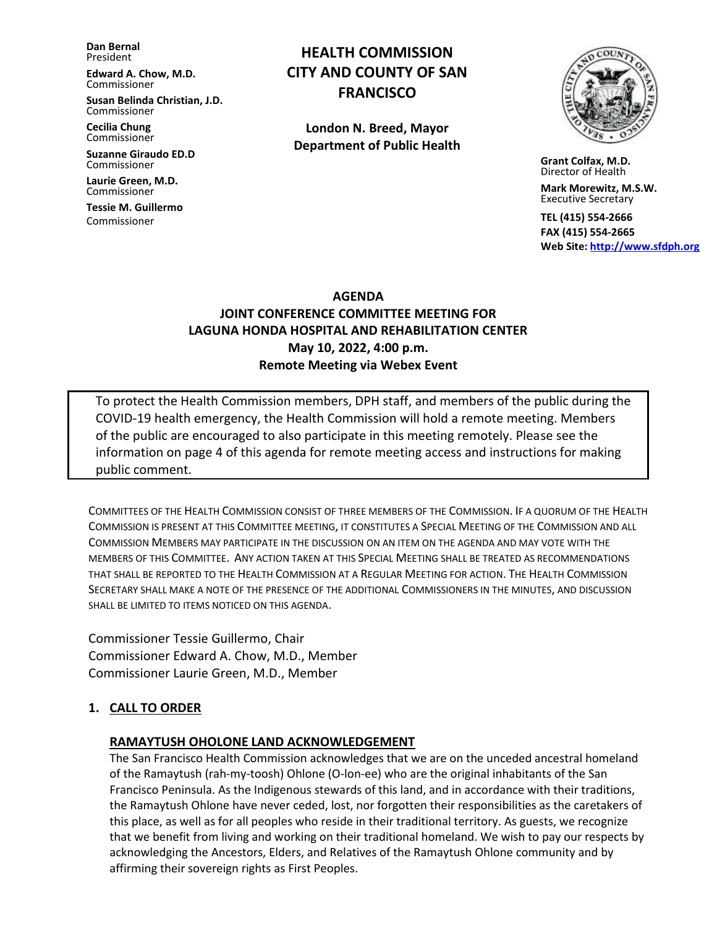**Dan Bernal** President

**Edward A. Chow, M.D.** Commissioner

**Susan Belinda Christian, J.D.** Commissioner

**Cecilia Chung**  Commissioner

**Suzanne Giraudo ED.D** Commissioner

**Laurie Green, M.D.** Commissioner

**Tessie M. Guillermo** Commissioner

# **HEALTH COMMISSION CITY AND COUNTY OF SAN FRANCISCO**

**London N. Breed, Mayor Department of Public Health**



 **Grant Colfax, M.D.** Director of Health

 **Mark Morewitz, M.S.W.**  Executive Secretary

 **TEL (415) 554-2666 FAX (415) 554-2665 Web Site: [http://www.sfdph.org](http://www.sfdph.org/)**

#### **AGENDA**

## **JOINT CONFERENCE COMMITTEE MEETING FOR LAGUNA HONDA HOSPITAL AND REHABILITATION CENTER May 10, 2022, 4:00 p.m. Remote Meeting via Webex Event**

To protect the Health Commission members, DPH staff, and members of the public during the COVID-19 health emergency, the Health Commission will hold a remote meeting. Members of the public are encouraged to also participate in this meeting remotely. Please see the information on page 4 of this agenda for remote meeting access and instructions for making public comment.

COMMITTEES OF THE HEALTH COMMISSION CONSIST OF THREE MEMBERS OF THE COMMISSION. IF A QUORUM OF THE HEALTH COMMISSION IS PRESENT AT THIS COMMITTEE MEETING, IT CONSTITUTES A SPECIAL MEETING OF THE COMMISSION AND ALL COMMISSION MEMBERS MAY PARTICIPATE IN THE DISCUSSION ON AN ITEM ON THE AGENDA AND MAY VOTE WITH THE MEMBERS OF THIS COMMITTEE. ANY ACTION TAKEN AT THIS SPECIAL MEETING SHALL BE TREATED AS RECOMMENDATIONS THAT SHALL BE REPORTED TO THE HEALTH COMMISSION AT A REGULAR MEETING FOR ACTION. THE HEALTH COMMISSION SECRETARY SHALL MAKE A NOTE OF THE PRESENCE OF THE ADDITIONAL COMMISSIONERS IN THE MINUTES, AND DISCUSSION SHALL BE LIMITED TO ITEMS NOTICED ON THIS AGENDA.

Commissioner Tessie Guillermo, Chair Commissioner Edward A. Chow, M.D., Member Commissioner Laurie Green, M.D., Member

### **1. CALL TO ORDER**

#### **RAMAYTUSH OHOLONE LAND ACKNOWLEDGEMENT**

The San Francisco Health Commission acknowledges that we are on the unceded ancestral homeland of the Ramaytush (rah-my-toosh) Ohlone (O-lon-ee) who are the original inhabitants of the San Francisco Peninsula. As the Indigenous stewards of this land, and in accordance with their traditions, the Ramaytush Ohlone have never ceded, lost, nor forgotten their responsibilities as the caretakers of this place, as well as for all peoples who reside in their traditional territory. As guests, we recognize that we benefit from living and working on their traditional homeland. We wish to pay our respects by acknowledging the Ancestors, Elders, and Relatives of the Ramaytush Ohlone community and by affirming their sovereign rights as First Peoples.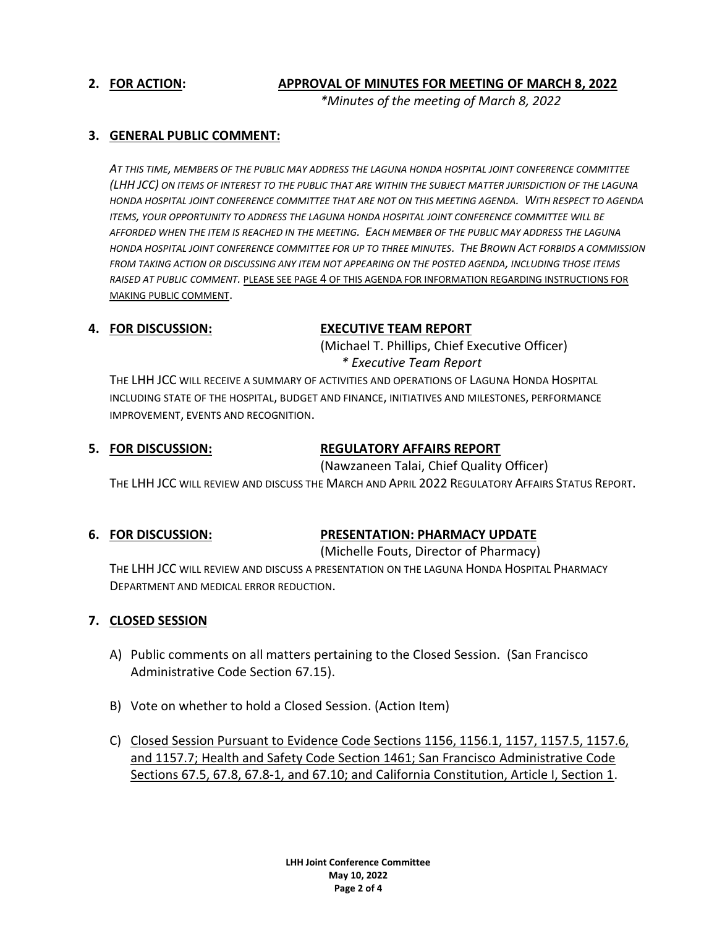### **2. FOR ACTION: APPROVAL OF MINUTES FOR MEETING OF MARCH 8, 2022**

*\*Minutes of the meeting of March 8, 2022*

## **3. GENERAL PUBLIC COMMENT:**

*AT THIS TIME, MEMBERS OF THE PUBLIC MAY ADDRESS THE LAGUNA HONDA HOSPITAL JOINT CONFERENCE COMMITTEE (LHH JCC) ON ITEMS OF INTEREST TO THE PUBLIC THAT ARE WITHIN THE SUBJECT MATTER JURISDICTION OF THE LAGUNA HONDA HOSPITAL JOINT CONFERENCE COMMITTEE THAT ARE NOT ON THIS MEETING AGENDA. WITH RESPECT TO AGENDA ITEMS, YOUR OPPORTUNITY TO ADDRESS THE LAGUNA HONDA HOSPITAL JOINT CONFERENCE COMMITTEE WILL BE AFFORDED WHEN THE ITEM IS REACHED IN THE MEETING. EACH MEMBER OF THE PUBLIC MAY ADDRESS THE LAGUNA HONDA HOSPITAL JOINT CONFERENCE COMMITTEE FOR UP TO THREE MINUTES. THE BROWN ACT FORBIDS A COMMISSION FROM TAKING ACTION OR DISCUSSING ANY ITEM NOT APPEARING ON THE POSTED AGENDA, INCLUDING THOSE ITEMS RAISED AT PUBLIC COMMENT.* PLEASE SEE PAGE 4 OF THIS AGENDA FOR INFORMATION REGARDING INSTRUCTIONS FOR MAKING PUBLIC COMMENT.

### **4. FOR DISCUSSION: EXECUTIVE TEAM REPORT**

(Michael T. Phillips, Chief Executive Officer) *\* Executive Team Report*

THE LHH JCC WILL RECEIVE A SUMMARY OF ACTIVITIES AND OPERATIONS OF LAGUNA HONDA HOSPITAL INCLUDING STATE OF THE HOSPITAL, BUDGET AND FINANCE, INITIATIVES AND MILESTONES, PERFORMANCE IMPROVEMENT, EVENTS AND RECOGNITION.

## **5. FOR DISCUSSION: REGULATORY AFFAIRS REPORT**

(Nawzaneen Talai, Chief Quality Officer)

THE LHH JCC WILL REVIEW AND DISCUSS THE MARCH AND APRIL 2022 REGULATORY AFFAIRS STATUS REPORT.

### **6. FOR DISCUSSION: PRESENTATION: PHARMACY UPDATE**

(Michelle Fouts, Director of Pharmacy)

THE LHH JCC WILL REVIEW AND DISCUSS A PRESENTATION ON THE LAGUNA HONDA HOSPITAL PHARMACY DEPARTMENT AND MEDICAL ERROR REDUCTION.

### **7. CLOSED SESSION**

- A) Public comments on all matters pertaining to the Closed Session. (San Francisco Administrative Code Section 67.15).
- B) Vote on whether to hold a Closed Session. (Action Item)
- C) Closed Session Pursuant to Evidence Code Sections 1156, 1156.1, 1157, 1157.5, 1157.6, and 1157.7; Health and Safety Code Section 1461; San Francisco Administrative Code Sections 67.5, 67.8, 67.8-1, and 67.10; and California Constitution, Article I, Section 1.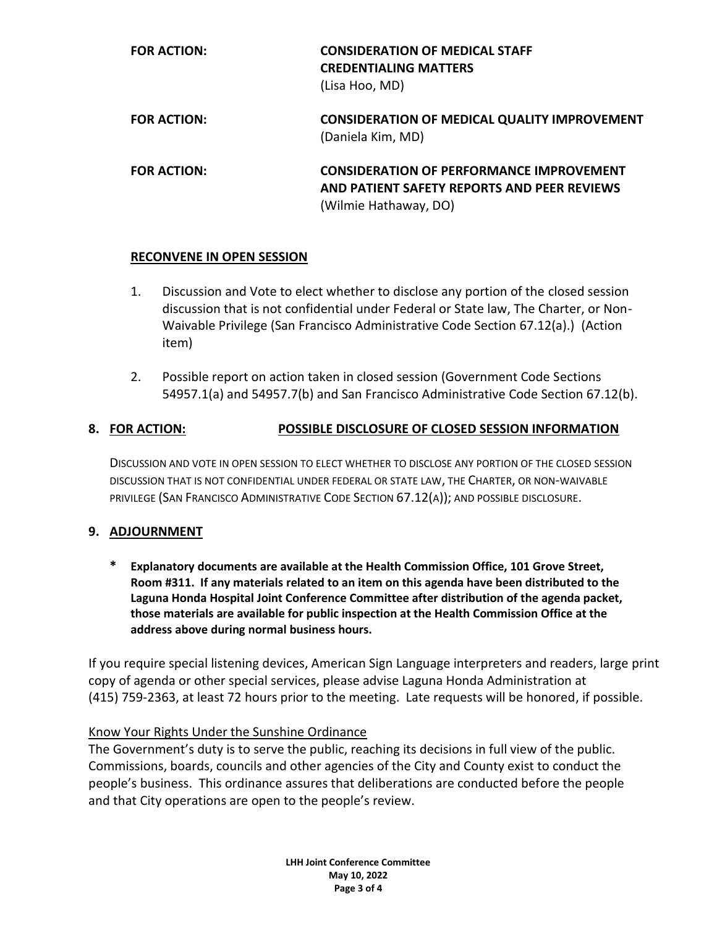| <b>FOR ACTION:</b> | <b>CONSIDERATION OF MEDICAL STAFF</b><br><b>CREDENTIALING MATTERS</b><br>(Lisa Hoo, MD)                                 |
|--------------------|-------------------------------------------------------------------------------------------------------------------------|
| <b>FOR ACTION:</b> | <b>CONSIDERATION OF MEDICAL QUALITY IMPROVEMENT</b><br>(Daniela Kim, MD)                                                |
| <b>FOR ACTION:</b> | <b>CONSIDERATION OF PERFORMANCE IMPROVEMENT</b><br>AND PATIENT SAFETY REPORTS AND PEER REVIEWS<br>(Wilmie Hathaway, DO) |

## **RECONVENE IN OPEN SESSION**

- 1. Discussion and Vote to elect whether to disclose any portion of the closed session discussion that is not confidential under Federal or State law, The Charter, or Non-Waivable Privilege (San Francisco Administrative Code Section 67.12(a).) (Action item)
- 2. Possible report on action taken in closed session (Government Code Sections 54957.1(a) and 54957.7(b) and San Francisco Administrative Code Section 67.12(b).

# **8. FOR ACTION: POSSIBLE DISCLOSURE OF CLOSED SESSION INFORMATION**

DISCUSSION AND VOTE IN OPEN SESSION TO ELECT WHETHER TO DISCLOSE ANY PORTION OF THE CLOSED SESSION DISCUSSION THAT IS NOT CONFIDENTIAL UNDER FEDERAL OR STATE LAW, THE CHARTER, OR NON-WAIVABLE PRIVILEGE (SAN FRANCISCO ADMINISTRATIVE CODE SECTION 67.12(A)); AND POSSIBLE DISCLOSURE.

## **9. ADJOURNMENT**

**\* Explanatory documents are available at the Health Commission Office, 101 Grove Street, Room #311. If any materials related to an item on this agenda have been distributed to the Laguna Honda Hospital Joint Conference Committee after distribution of the agenda packet, those materials are available for public inspection at the Health Commission Office at the address above during normal business hours.**

If you require special listening devices, American Sign Language interpreters and readers, large print copy of agenda or other special services, please advise Laguna Honda Administration at (415) 759-2363, at least 72 hours prior to the meeting. Late requests will be honored, if possible.

### Know Your Rights Under the Sunshine Ordinance

The Government's duty is to serve the public, reaching its decisions in full view of the public. Commissions, boards, councils and other agencies of the City and County exist to conduct the people's business. This ordinance assures that deliberations are conducted before the people and that City operations are open to the people's review.

> **LHH Joint Conference Committee May 10, 2022 Page 3 of 4**